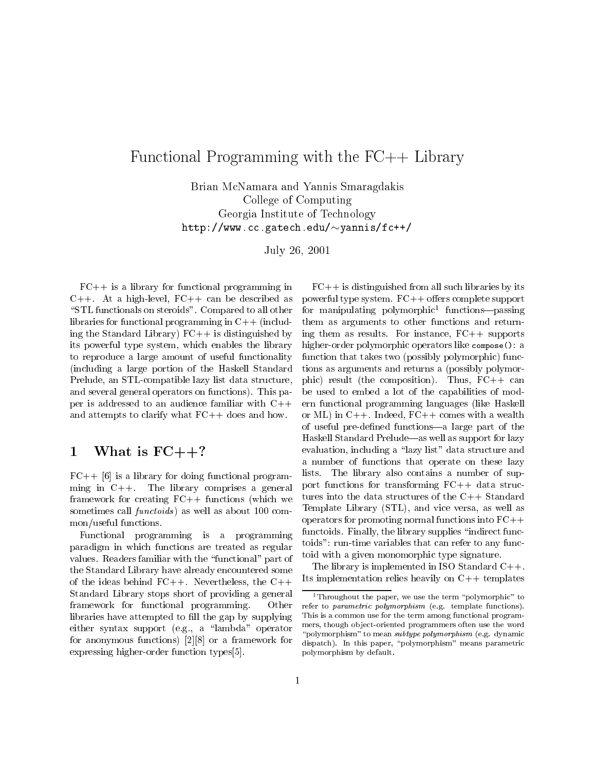# $F$  . Finally, the Functional Programming with the FC++ Library  $F$  , the FC+  $\sim$  Library  $F$

Brian McNamara and Yannis Smaragdakis College of ComputingGeorgia Institute of Technology http://www.cc.gatech.edu/~yannis/fc++/

 $J$ uly 20, 2001

 $FC++$  is a library for functional programming in C++. At a high-level, FC++ can be described as "STL functionals on steroids". Compared to all other libraries for functional programming in C++ (including the Standard Library)  $FC++$  is distinguished by its powerful type system, which enables the library to reproduce a large amount of useful functionality (including a large portion of the Haskell Standard Prelude, an STL-compatible lazy list data structure, and several general operators on functions). This paper is addressed to an audience familiar with C++ and attempts to clarify what FC++ does and how.

# 1 What is  $FC++?$

 $FC++ [6]$  is a library for doing functional programming in C++. The library comprises a general framework for creating  $FC++$  functions (which we sometimes call  $\mathit{functoids}$  as well as about 100 common/useful functions.

Functional programming is a programming paradigm in which functions are treated as regular values. Readers familiar with the \functional" part of the Standard Library have already encountered some of the ideas behind  $FC++$ . Nevertheless, the  $C++$ Standard Library stops short of providing a general framework for functional programming. Other libraries have attempted to fill the gap by supplying either syntax support (e.g., a \lambda" operator for anonymous functions) [2][8] or a framework for expressing higher-order function types[5].

 $FC++$  is distinguished from all such libraries by its powerful type system.  $FC++$  offers complete support for manipulating polymorphic1 functions|passing them as arguments to other functions and returning them as results. For instance,  $FC++$  supports higher-order polymorphic operators like compose(): a function that takes two (possibly polymorphic) functions as arguments and returns a (possibly polymorphic) result (the composition). Thus,  $FC++$  can be used to embed a lot of the capabilities of modern functional programming languages (like Haskell or ML) in  $C++$ . Indeed,  $FC++$  comes with a wealth of useful pre-defined functions—a large part of the Haskell Standard Prelude—as well as support for lazy evaluation, including a "lazy list" data structure and a number of functions that operate on these lazy lists. The library also contains a number of support functions for transforming FC++ data structures into the data structures of the C++ Standard Template Library (STL), and vice versa, as well as operators for promoting normal functions into FC++ functoids. Finally, the library supplies "indirect functoids": run-time variables that can refer to any functoid with a given monomorphic type signature.

The library is implemented in ISO Standard  $C++$ . Its implementation relies heavily on  $C++$  templates

<sup>&</sup>lt;sup>1</sup>Throughout the paper, we use the term "polymorphic" to refer to parametric polymorphism (e.g. template functions). This is a common use for the term among functional programmers, though object-oriented programmers often use the word "polymorphism" to mean subtype polymorphism (e.g. dynamic dispatch). In this paper, "polymorphism" means parametric polymorphism by default.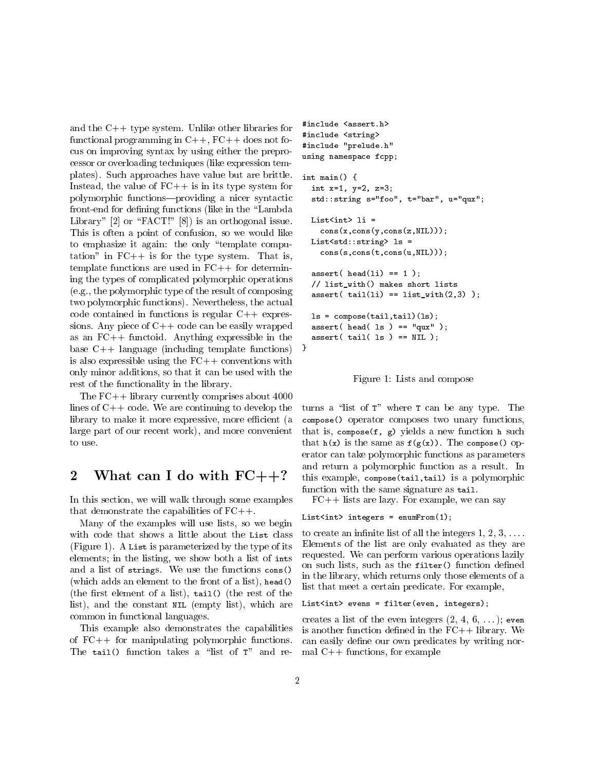and the C++ type system. Unlike other libraries for functional programming in  $C++$ ,  $FC++$  does not focus on improving syntax by using either the preprocessor or overloading techniques (like expression templates). Such approaches have value but are brittle. Instead, the value of  $FC++$  is in its type system for polymorphic functions-providing a nicer syntactic front-end for defining functions (like in the "Lambda Library"  $[2]$  or "FACT!"  $[8]$ ) is an orthogonal issue. This is often a point of confusion, so we would like to emphasize it again: the only \template computation" in  $FC++$  is for the type system. That is, template functions are used in  $FC++$  for determining the types of complicated polymorphic operations (e.g., the polymorphic type of the result of composing two polymorphic functions). Nevertheless, the actual code contained in functions is regular  $C++$  expressions. Any piece of  $C++$  code can be easily wrapped as an FC++ functoid. Anything expressible in the base C++ language (including template functions) is also expressible using the  $FC++$  conventions with only minor additions, so that it can be used with the rest of the functionality in the library.

The FC++ library currently comprises about 4000 lines of  $C++$  code. We are continuing to develop the library to make it more expressive, more efficient (a large part of our recent work), and more convenient to use.

#### $\overline{2}$ What can I do with  $FC++?$

In this section, we will walk through some examples that demonstrate the capabilities of  $FC++$ .

Many of the examples will use lists, so we begin with code that shows a little about the List class (Figure 1). A List is parameterized by the type of its elements; in the listing, we show both a list of ints and a list of strings. We use the functions cons() (which adds an element to the front of a list), head() (the first element of a list),  $tail()$  (the rest of the list), and the constant NIL (empty list), which are common in functional languages.

This example also demonstrates the capabilities of FC++ for manipulating polymorphic functions. The tail() function takes a "list of  $T$ " and re-

```
#include <assert.h>
#include <string>
#include "prelude.h"
using namespace fcpp;
int main() {
  int x=1, y=2, z=3;
  std::string s="foo", t="bar", u="qux";
  List<int> li =
    cons(x,cons(y,cons(z,NIL)));
  List<std::string> ls =
    cons(s,cons(t,cons(u,NIL)));
  assert(<math>head(1i) == 1);
  // list_with() makes short lists
  assert( tail(li) == list_with(2,3) );ls = \text{composite}(\text{tail}, \text{tail})(ls);\text{assert}(\text{head}(\text{ls}) == \text{``qux''});assert( tail( 1s ) == NIL );
```


turns a "list of  $T$ " where  $T$  can be any type. The compose() operator composes two unary functions, that is, compose  $(f, g)$  yields a new function h such that  $h(x)$  is the same as  $f(g(x))$ . The compose() operator can take polymorphic functions as parameters and return a polymorphic function as a result. In this example, compose(tail,tail) is a polymorphic function with the same signature as tail.

 $FC++$  lists are lazy. For example, we can say

## List<int> integers =  $enumFrom(1);$

to create an infinite list of all the integers  $1, 2, 3, \ldots$ . Elements of the list are only evaluated as they are requested. We can perform various operations lazily on such lists, such as the filter() function defined in the library, which returns only those elements of a list that meet a certain predicate. For example,

```
List<int> evens = filter(even, integers);
```
creates a list of the even integers  $(2, 4, 6, \ldots)$ ; even is another function defined in the  $FC++$  library. We can easily define our own predicates by writing normal C++ functions, for example

}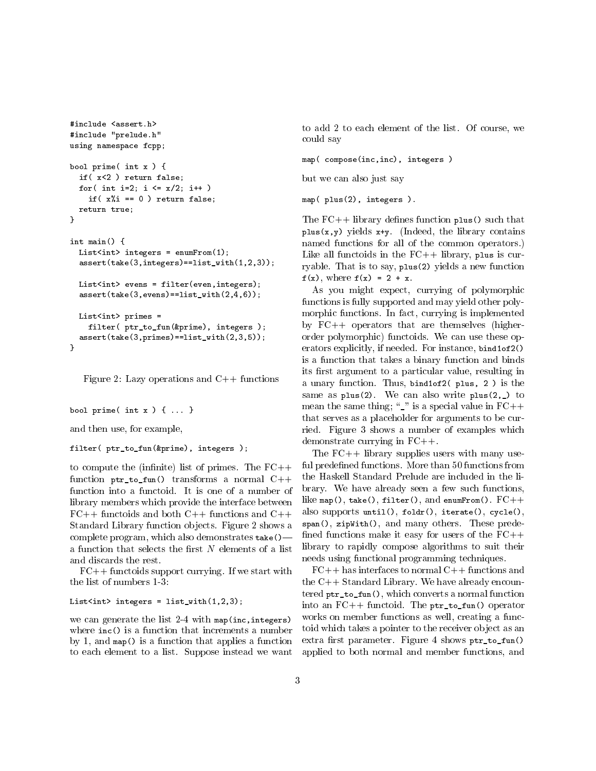```
#include <assert.h>
#include "prelude.h"
using namespace fcpp;
bool prime( int x ) {
 if( x<2 ) return false;
 for( int i=2; i <= x/2; i++ )
    if(x''i == 0 ) return false;
 return true;
\mathbf{r}}
int main() {
 List<int> integers = enumFrom(1);
 assert(take(3,integers)==list_with(1,2,3));
 List<int> evens = filter(even, integers);
 assert(take(3,evens)==list_with(2,4,6));
 List<int> primes =
    filter( ptr_to_fun(&prime), integers );
  assert(take(3,primes)==list_with(2,3,5));
}
```
Figure 2: Lazy operations and C++ functions

```
bool prime( int x ) { ... }
```
and then use, for example,

filter( ptr\_to\_fun(&prime), integers );

to compute the (infinite) list of primes. The  $FC++$ function ptr\_to\_fun() transforms a normal C++ function into a functoid. It is one of a number of library members which provide the interface between  $FC++$  functoids and both  $C++$  functions and  $C++$ Standard Library function ob jects. Figure 2 shows a complete program, which also demonstrates  $\mathsf{take}()$  – a function that selects the first  $N$  elements of a list and discards the rest.

 $FC++$  functoids support currying. If we start with the list of numbers 1-3:

## List<int> integers =  $list_with(1,2,3);$

we can generate the list 2-4 with map(inc,integers) where inc() is a function that increments a number by 1, and map() is a function that applies a function to each element to a list. Suppose instead we want to add 2 to each element of the list. Of course, we could say

map( compose(inc,inc), integers )

but we can also just say

map( plus(2), integers ).

The  $FC++$  library defines function  $plus()$  such that  $plus(x,y)$  yields  $x+y$ . (Indeed, the library contains named functions for all of the common operators.) Like all functoids in the  $FC++$  library, plus is curryable. That is to say, plus(2) yields a new function  $f(x)$ , where  $f(x) = 2 + x$ .

As you might expect, currying of polymorphic functions is fully supported and may yield other polymorphic functions. In fact, currying is implemented by FC++ operators that are themselves (higherorder polymorphic) functoids. We can use these operators explicitly, if needed. For instance, bind1of2() is a function that takes a binary function and binds its first argument to a particular value, resulting in a unary function. Thus, bind1of2( plus, 2 ) is the same as plus(2). We can also write plus(2,\_) to mean the same thing;  $\frac{m}{n}$  is a special value in  $FC++$ that serves as a placeholder for arguments to be curried. Figure 3 shows a number of examples which demonstrate currying in FC++.

The FC++ library supplies users with many useful predefined functions. More than 50 functions from the Haskell Standard Prelude are included in the library. We have already seen a few such functions, like map(), take(), filter(), and enumFrom().  $FC++$ also supports until(), foldr(), iterate(), cycle(), span(), zipWith(), and many others. These prede fined functions make it easy for users of the  $FC++$ library to rapidly compose algorithms to suit their needs using functional programming techniques.

 $FC++$  has interfaces to normal  $C++$  functions and the C++ Standard Library. We have already encountered ptr\_to\_fun(), which converts a normal function into an FC++ functoid. The ptr\_to\_fun() operator works on member functions as well, creating a functoid which takes a pointer to the receiver ob ject as an extra first parameter. Figure 4 shows ptr\_to\_fun() applied to both normal and member functions, and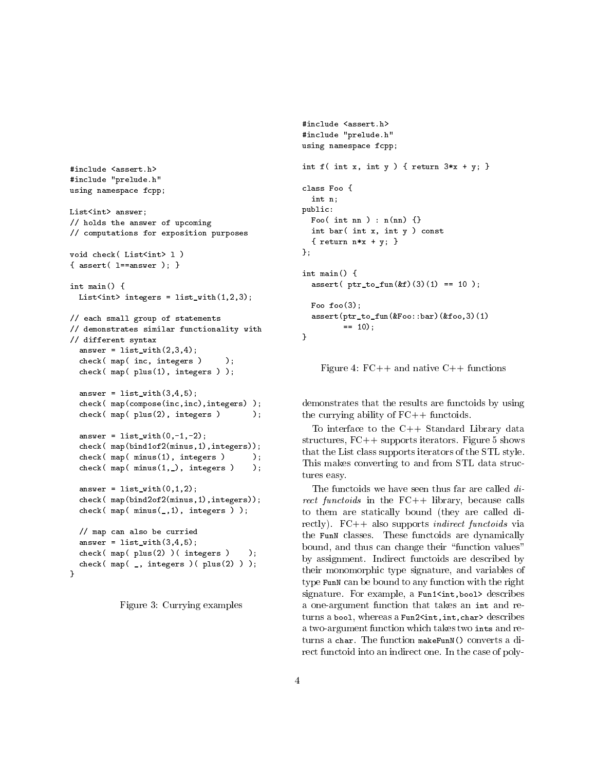```
#include <assert h>
#include "prelude.h"
using namespace fcpp;
List<int> answer;
// holds the answer of upcoming
// computations for exposition purposes
void check( List<int> 1)
\{ assert ( l==answer ); \}int main() {
 List<int> integers = list\_with(1,2,3);// each small group of statements
// demonstrates similar functionality with
// different syntax
 answer = list_with(2,3,4);check(map(inc, integers) );
 check( map( plus(1), integers ) );
 answer = list_with(3,4,5);check( map(compose(inc,inc),integers) );
 check(map(plus(2), integers ) );
  answer = list\_with(0, -1, -2);check( map(bind1of2(minus,1),integers));
  check( map(minus(1), integers) );
  check(map( minus(1, ), integers)
                                       \cdotanswer = list_with(0,1,2);check( map(bind2of2(minus,1),integers));
  check( map( minus(_,1), integers ) );
 // map can also be curried
 answer = list_with(3,4,5);check(map(plus(2))(integers)
                                      \cdot
```

```
\mathbf{r}}
```

```
Figure 3: Currying examples
```
check( map( \_, integers )( plus(2) ) );

```
#include <assert.h>
#include "prelude.h"
using namespace fcpp;
int f( int x, int y ) { return 3*x + y; }
class Foo {
  int n;
public:
 Foo( int nn ) : n(nn) {}
  int bar( int x, int y ) const
  \{ return n*x + y; \}};
int main() {
  assert( ptr_to_fun(kf)(3)(1) == 10 );
 Foo foo(3);
  assert(ptr_to_fun(&Foo::bar)(&foo,3)(1)
         == 10 ;
}
```
Figure 4:  $FC++$  and native  $C++$  functions

demonstrates that the results are functoids by using the currying ability of  $FC++$  functoids.

To interface to the C++ Standard Library data structures, FC++ supports iterators. Figure 5 shows that the List class supports iterators of the STL style. This makes converting to and from STL data structures easy.

The functoids we have seen thus far are called  $di$ rect functoids in the  $FC++$  library, because calls to them are statically bound (they are called directly).  $FC++$  also supports *indirect functoids* via the FunN classes. These functoids are dynamically bound, and thus can change their "function values" by assignment. Indirect functoids are described by their monomorphic type signature, and variables of type FunN can be bound to any function with the right signature. For example, a Fun1<int, bool> describes a one-argument function that takes an int and returns a bool, whereas a Fun2<int, int, char> describes a two-argument function which takes two ints and returns a char. The function makeFunN() converts a diturns a characteristic make  $\mathbf{r}$  and  $\mathbf{r}$  and  $\mathbf{r}$  are function make  $\mathbf{r}$ rect functoid into an indirect one. In the case of poly-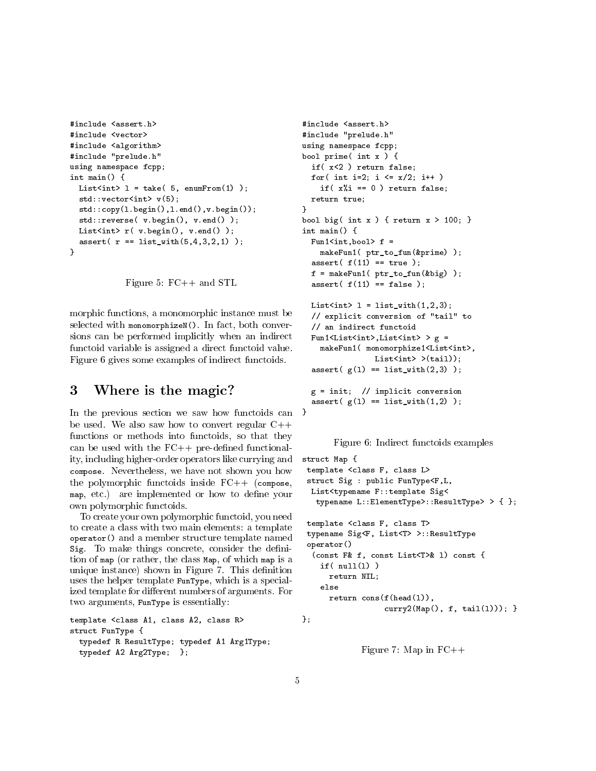```
#include <assert.h>
#include <vector>
#include <algorithm>
#include "prelude.h"
using namespace fcpp;
int main() {
 List<int> l = take( 5, enumFrom(1) );
 std::vector<int> v(5);
 std::copy(l.begin(),l.end(),v.begin());
  std::reverse( v.begin(), v.end() );
 List<int> r( v.\text{begin}() , v.\text{end}() );
  assert( r == list_with(5, 4, 3, 2, 1) );
\mathbf{r}}
```
Figure 5: FC++ and STL

morphic functions, a monomorphic instance must be selected with monomorphizeN(). In fact, both conversions can be performed implicitly when an indirect functoid variable is assigned a direct functoid value. Figure 6 gives some examples of indirect functoids.

## 3 Where is the magic?

In the previous section we saw how functoids can be used. We also saw how to convert regular  $C++$ functions or methods into functoids, so that they can be used with the  $FC++$  pre-defined functionality, including higher-order operators like currying and compose. Nevertheless, we have not shown you how the polymorphic functoids inside  $FC++$  (compose, map, etc.) are implemented or how to define your own polymorphic functoids.

To create your own polymorphic functoid, you need to create a class with two main elements: a template operator() and a member structure template named Sig. To make things concrete, consider the definition of map (or rather, the class Map, of which map is a unique instance) shown in Figure 7. This definition uses the helper template FunType, which is a specialized template for different numbers of arguments. For two arguments, FunType is essentially:

```
template <class A1, class A2, class R>
struct FunType {
 typedef R ResultType; typedef A1 Arg1Type;
 typedef A2 Arg2Type; };
```

```
#include <assert.h>
#include "prelude.h"
using namespace fcpp;
bool prime( int x ) {
  if( x<2 ) return false;
  for( int i=2; i <= x/2; i++ )
    if(x''<sub>i</sub> == 0 ) return false;
  return true;
\mathbf{r}}
bool big( int x ) { return x > 100; }
int main() {
  Fun1\langleint,bool> f =
    makeFun1( ptr_to_fun(&prime) );
  assert( f(11) == true);f = makeFun1(ptr_to_fun(kbig) );
  assert( f(11) == false);List<int> l = \text{list\_with}(1, 2, 3);// explicit conversion of "tail" to
  // an indirect functoid
  Fun1<List<int>,List<int> > g =makeFun1( monomorphize1<List<int>,
                 List<int>int >(tail);
  \texttt{assert}(\texttt{g}(1) == \texttt{list\_with}(2,3) );
  g = init; // implicit conversion
  assert( g(1) == list_with(1,2) );
```
Figure 6: Indirect functoids examples

```
struct Map {
template <class F, class L>
struct Sig : public FunType<F,L,
 List<typename F::template Sig<
   typename L::ElementType>::ResultType> > { };
template <class F, class T>
typename Sig<F, List<T> >::ResultType
operator()
  (const F& f, const List<T>& l) const {
    if( null(1) )return NIL;
    else
      return cons(f(head(l)),
                  curry2(Map(), f, tail(l))); }
};
```
Figure 7: Map in  $FC++$ 

}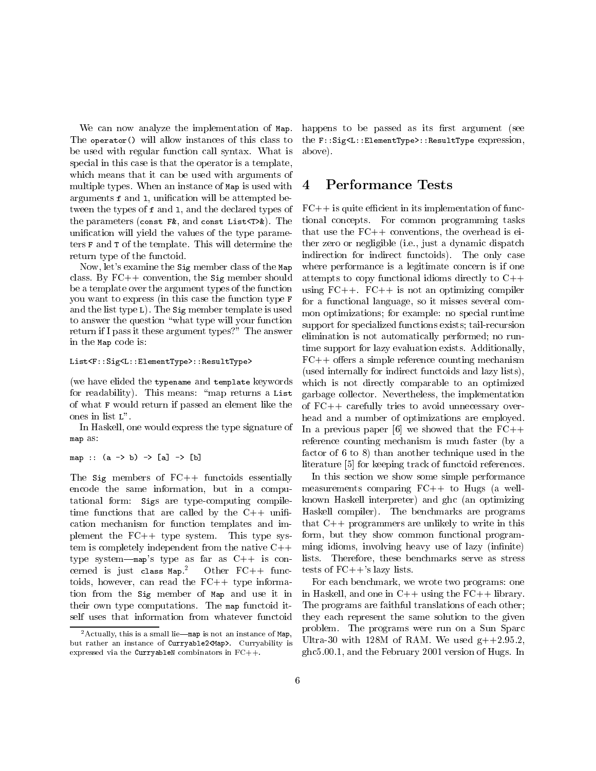We can now analyze the implementation of Map. The operator() will allow instances of this class to be used with regular function call syntax. What is special in this case is that the operator is a template, which means that it can be used with arguments of multiple types. When an instance of Map is used with arguments f and l, unication will be attempted between the types of f and l, and the declared types of the parameters (const F&, and const List<T>&). The unication will yield the values of the type parameters F and T of the template. This will determine the return type of the functoid.

Now, let's examine the Sig member class of the Map class. By FC++ convention, the Sig member should be a template over the argument types of the function you want to express (in this case the function type F and the list type L). The Sig member template is used to answer the question \what type will your function return if I pass it these argument types?" The answer in the Map code is:

## List<F::Sig<L::ElementType>::ResultType>

(we have elided the typename and template keywords for readability). This means: "map returns a List of what F would return if passed an element like the ones in list L".

In Haskell, one would express the type signature of map as:

## map :: (a -> b) -> [a] -> [b]

The  $Sig$  members of  $FC++$  functoids essentially encode the same information, but in a computational form: Sigs are type-computing compiletime functions that are called by the  $C++$  unification mechanism for function templates and implement the  $FC++$  type system. This type system is completely independent from the native  $C++$ type system—map's type as far as  $C++$  is concerned is just class Map.<sup>2</sup> Other  $FC++$  functoids, however, can read the  $FC++$  type information from the Sig member of Map and use it in their own type computations. The map functoid itself uses that information from whatever functoid

happens to be passed as its first argument (see the F::Sig<L::ElementType>::ResultType expression, above).

#### 4 4 Performance Tests

 $FC++$  is quite efficient in its implementation of functional concepts. For common programming tasks that use the  $FC++$  conventions, the overhead is either zero or negligible (i.e., just a dynamic dispatch indirection for indirect functoids). The only case where performance is a legitimate concern is if one attempts to copy functional idioms directly to C++ using  $FC++$ .  $FC++$  is not an optimizing compiler for a functional language, so it misses several common optimizations; for example: no special runtime support for specialized functions exists; tail-recursion elimination is not automatically performed; no runtime support for lazy evaluation exists. Additionally,  $FC++$  offers a simple reference counting mechanism (used internally for indirect functoids and lazy lists), which is not directly comparable to an optimized garbage collector. Nevertheless, the implementation of FC++ carefully tries to avoid unnecessary overhead and a number of optimizations are employed. In a previous paper [6] we showed that the  $FC++$ reference counting mechanism is much faster (by a factor of 6 to 8) than another technique used in the literature [5] for keeping track of functoid references.

In this section we show some simple performance measurements comparing FC++ to Hugs (a wellknown Haskell interpreter) and ghc (an optimizing Haskell compiler). The benchmarks are programs that C++ programmers are unlikely to write in this form, but they show common functional programming idioms, involving heavy use of lazy (infinite) lists. Therefore, these benchmarks serve as stress tests of  $FC++$ 's lazy lists.

For each benchmark, we wrote two programs: one in Haskell, and one in  $C++$  using the  $FC++$  library. The programs are faithful translations of each other; they each represent the same solution to the given problem. The programs were run on a Sun Sparc Ultra-30 with 128M of RAM. We used  $g++2.95.2$ . ghc5.00.1, and the February 2001 version of Hugs. In

 $^2$  Actually, this is a small lie—map is not an instance of Map, but rather an instance of Curryable2<Map>. Curryability is expressed via the CurryableN combinators in FC++.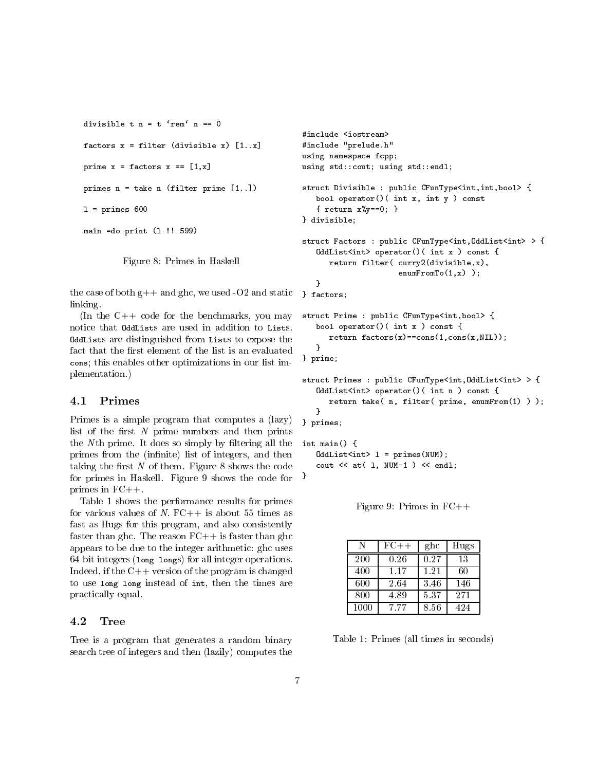```
divisible t n = t 'rem' n == 0
factors x = filter (divisible x) [1..x]prime x = factors x == [1, x]primes n = take n (filter prime [1..])
l = primes 600main =do print (l !! 599)
```
Figure 8: Primes in Haskell

the case of both  $g++$  and ghc, we used -O2 and static linking.

(In the C++ code for the benchmarks, you may notice that OddLists are used in addition to Lists. **OddLists** are distinguished from Lists to expose the  $\mathbf{C}$ fact that the first element of the list is an evaluated cons; this enables other optimizations in our list implementation.)

## 4.1 Primes

Primes is a simple program that computes a (lazy) list of the first  $N$  prime numbers and then prints the  $N$ <sup>th</sup> prime. It does so simply by filtering all the primes from the (infinite) list of integers, and then taking the first  $N$  of them. Figure 8 shows the code for primes in Haskell. Figure 9 shows the code for primes in FC++.

Table 1 shows the performance results for primes for various values of  $N$ .  $FC++$  is about 55 times as fast as Hugs for this program, and also consistently faster than ghc. The reason  $FC++$  is faster than ghc appears to be due to the integer arithmetic: ghc uses 64-bit integers (long longs) for all integer operations. Indeed, if the  $C++$  version of the program is changed to use long long instead of int, then the times are practically equal.

#### Tree 4.2

Tree is a program that generates a random binary search tree of integers and then (lazily) computes the

```
#include <iostream>
#include "prelude.h"
using namespace fcpp;
using std::cout; using std::endl;
struct Divisible : public CFunType<int, int, bool> {
   bool operator()( int x, int y ) const
   { return x%y==0; }
} divisible;
struct Factors : public CFunType<int, OddList<int> > {
   OddList<int> operator()( int x ) const {
      return filter( curry2(divisible,x),
                     enumFromTo(1,x));
   }
} factors;
struct Prime : public CFunType<int,bool> {
   bool operator()( int x ) const {
      return factors(x)==cons(1,cons(x,NIL));
   }
} prime;
struct Primes : public CFunType<int, OddList<int> > {
   OddList<int> operator()( int n ) const {
      return take( n, filter( prime, enumFrom(1) ) );
   <sup>}</sup>
   }
} primes;
int main() {
   OddList<int > 1 = primes(NUM);cout << at( 1, NUM-1 ) << endl;
```
Figure 9: Primes in  $FC++$ 

| N    | $FC++$ | ghc  | Hugs |
|------|--------|------|------|
| 200  | 0.26   | 0.27 | 13   |
| 400  | 1.17   | 1.21 | 60   |
| 600  | 2.64   | 3.46 | 146  |
| 800  | 4.89   | 5.37 | 271  |
| 1000 | 7.77   | 8.56 | 424  |

Table 1: Primes (all times in seconds)

}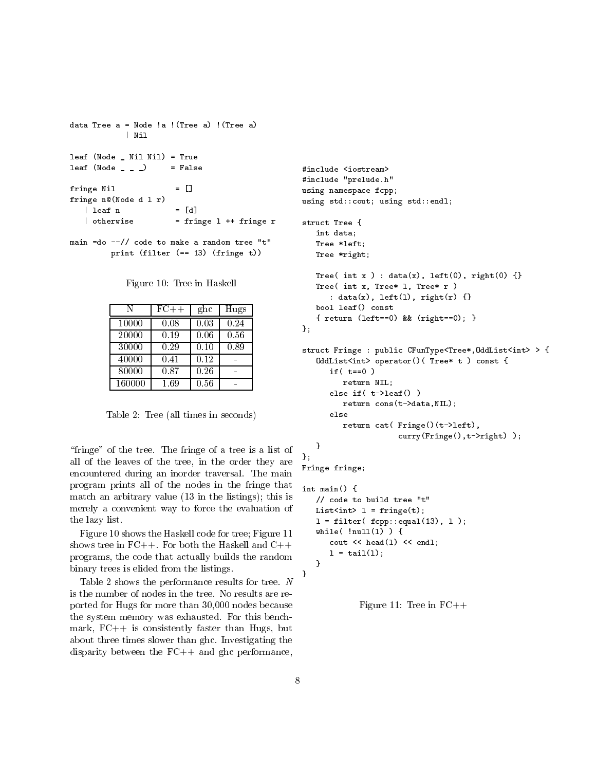```
data Tree a = Node !a !(Tree a) !(Tree a)
               | Nil
               | Nilaya | Nilaya | Nilaya | Nilaya | Nilaya | Nilaya | Nilaya | Nilaya | Nilaya | Nilaya | Nilaya | Nilaya | N
leaf (Node _ Nil Nil) = True
leaf (Node _ _ _ ) = False
fringe Nil = []fringe n@(Node d l r)
    \vert leaf n = [d]| otherwise = fringe 1 ++ fringe r
main =do --// code to make a random tree "t"
```
Figure 10: Tree in Haskell

print (filter (== 13) (fringe t))

| N      | $FC++$ | ghc  | Hugs |
|--------|--------|------|------|
| 10000  | 0.08   | 0.03 | 0.24 |
| 20000  | 0.19   | 0.06 | 0.56 |
| 30000  | 0.29   | 0.10 | 0.89 |
| 40000  | 0.41   | 0.12 |      |
| 80000  | 0.87   | 0.26 |      |
| 160000 | 1.69   | 0.56 |      |

Table 2: Tree (all times in seconds)

"fringe" of the tree. The fringe of a tree is a list of all of the leaves of the tree, in the order they are encountered during an inorder traversal. The main program prints all of the nodes in the fringe that match an arbitrary value (13 in the listings); this is merely a convenient way to force the evaluation of the lazy list.

Figure 10 shows the Haskell code for tree; Figure 11 shows tree in  $FC++$ . For both the Haskell and  $C++$ programs, the code that actually builds the random binary trees is elided from the listings.

Table 2 shows the performance results for tree. N is the number of nodes in the tree. No results are reported for Hugs for more than 30,000 nodes because the system memory was exhausted. For this benchmark,  $FC++$  is consistently faster than Hugs, but about three times slower than ghc. Investigating the disparity between the FC++ and ghc performance,

```
#include <iostream>
#include "prelude.h"
using namespace fcpp;
using std::cout; using std::endl;
struct Tree {
   int data;
   Tree *left;
   Tree *right;
   Tree( int x ) : data(x), left(0), right(0) \{\}Tree( int x, Tree* l, Tree* r )
      : data(x), left(l), right(r) {}
   bool leaf() const
   { return (left==0) && (right==0); }
};
struct Fringe : public CFunType<Tree*,OddList<int> > {
   OddList<int> operator()( Tree* t ) const {
      if (t == 0)return NIL;
      else if( t->leaf() )
         return cons(t->data,NIL);
      else
         return cat( Fringe()(t->left),
                     curry(Fringe(),t->right) );
   }
};
Fringe fringe;
```

```
int main() {
   // code to build tree "t"
  List<int> l = fringe(t);
   l = filter(fopp::equal(13), l);while(lnull(1)) {
      cout << head(l) << endl;
      l = \text{tail}(l);
   }
}
```
Figure 11: Tree in  $FC++$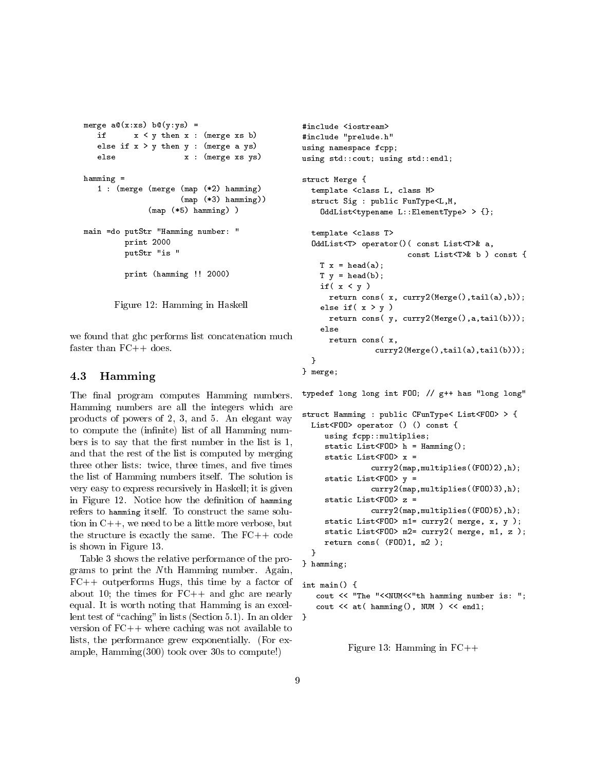```
merge a@(x:xs) b@(y:ys) =if
          x < y then x : (merge xs b)else if x > y then y : (merge \ a \ ys)else x : (merge xs ys)
hamming =1 : (merge (merge (map (*2) hamming)
                     (\text{map } (*3) hamming))
              (map (*5) hamming) )
main =do putStr "Hamming number: "
         print 2000
         putStr "is "
         print (hamming !! 2000)
```
Figure 12: Hamming in Haskell

we found that ghc performs list concatenation much faster than FC++ does.

## 4.3 Hamming

The final program computes Hamming numbers. Hamming numbers are all the integers which are products of powers of 2, 3, and 5. An elegant way to compute the (infinite) list of all Hamming numbers is to say that the first number in the list is  $1$ , and that the rest of the list is computed by merging three other lists: twice, three times, and five times the list of Hamming numbers itself. The solution is very easy to express recursively in Haskell; it is given in Figure 12. Notice how the definition of hamming refers to hamming itself. To construct the same solution in C++, we need to be a little more verbose, but the structure is exactly the same. The  $FC++code$ is shown in Figure 13.

Table 3 shows the relative performance of the programs to print the N th Hamming number. Again,  $FC++$  outperforms Hugs, this time by a factor of about 10; the times for  $FC++$  and ghc are nearly equal. It is worth noting that Hamming is an excellent test of "caching" in lists (Section 5.1). In an older version of FC++ where caching was not available to lists, the performance grew exponentially. (For example, Hamming(300) took over 30s to compute!)

```
#include "prelude.h"
using namespace fcpp;
using std::cout; using std::endl;
struct Merge {
  template <class L, class M>
  struct Sig : public FunType<L,M,
    OddList<typename L::ElementType> > {};
  template <class T>
  OddList<T> operator()( const List<T>& a,
                       const List<T>& b ) const {
    T x = head(a);
   T y = head(b);
    if(x < y)
      return cons( x, curry2(Merge(),tail(a),b));
    else if(x > y)
      return cons( y, curry2(Merge(),a,tail(b)));
    else
      return cons( x,
                curry2(Merge(),tail(a),tail(b)));
  <sup>}</sup>
  }
} merge;
```
typedef long long int FOO; // g++ has "long long" struct Hamming : public CFunType< List<FOO> > { List<FOO> operator () () const { using fcpp::multiplies; static List<F00> h = Hamming(); static List<FOO> x = curry2(map,multiplies((FOO)2),h); static List<FOO> y = curry2(map,multiplies((FOO)3),h); static List<FOO> z = curry2(map,multiplies((FOO)5),h); static List<F00> m1= curry2( merge, x, y ); static List<FOO> m2= curry2( merge, m1, z ); return cons( (FOO)1, m2 ); } } hamming;

```
int main() {
   cout << "The "<<NUM<<"th hamming number is: ";
   cout << at( hamming(), NUM ) << endl;
```
Figure 13: Hamming in  $FC++$ 

}

ł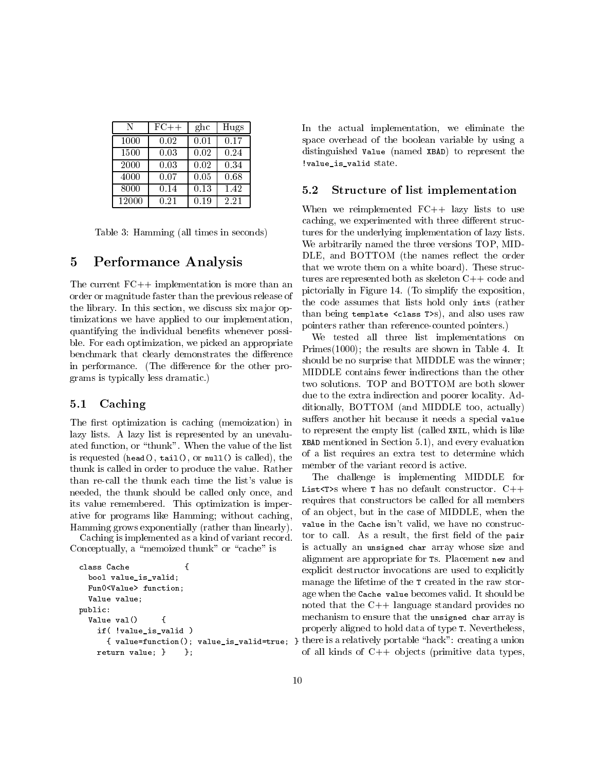| N     | $FC++$ | $_{\rm ghc}$ | Hugs |
|-------|--------|--------------|------|
| 1000  | 0.02   | 0.01         | 0.17 |
| 1500  | 0.03   | 0.02         | 0.24 |
| 2000  | 0.03   | 0.02         | 0.34 |
| 4000  | 0.07   | 0.05         | 0.68 |
| 8000  | 0.14   | 0.13         | 1.42 |
| 12000 | 0.21   | 0.19         | 2.21 |

Table 3: Hamming (all times in seconds)

#### $\overline{5}$ 5 Performance Analysis

The current FC++ implementation is more than an order or magnitude faster than the previous release of the library. In this section, we discuss six major optimizations we have applied to our implementation, quantifying the individual benefits whenever possible. For each optimization, we picked an appropriate benchmark that clearly demonstrates the difference in performance. (The difference for the other programs is typically less dramatic.)

## 5.1 Caching

The first optimization is caching (memoization) in lazy lists. A lazy list is represented by an unevaluated function, or "thunk". When the value of the list is requested (head(), tail(), or null() is called), the thunk is called in order to produce the value. Rather than re-call the thunk each time the list's value is needed, the thunk should be called only once, and its value remembered. This optimization is imperative for programs like Hamming; without caching, Hamming grows exponentially (rather than linearly).

Caching is implemented as a kind of variant record. Conceptually, a "memoized thunk" or "cache" is

```
class Cache {
                         ſ
  bool value_is_valid;
  Fun0<Value> function;
  Value value;
public:
  Value val() {
    if( !value_is_valid )
    return value; } };
                      \cdot :
```
In the actual implementation, we eliminate the space overhead of the boolean variable by using a distinguished Value (named XBAD) to represent the !value\_is\_valid state.

## 5.2 Structure of list implementation

When we reimplemented FC++ lazy lists to use caching, we experimented with three different structures for the underlying implementation of lazy lists. We arbitrarily named the three versions TOP, MID-DLE, and BOTTOM (the names reflect the order that we wrote them on a white board). These structures are represented both as skeleton C++ code and pictorially in Figure 14. (To simplify the exposition, the code assumes that lists hold only ints (rather than being template <class T>s), and also uses raw pointers rather than reference-counted pointers.)

We tested all three list implementations on Primes $(1000)$ ; the results are shown in Table 4. It should be no surprise that MIDDLE was the winner; MIDDLE contains fewer indirections than the other two solutions. TOP and BOTTOM are both slower due to the extra indirection and poorer locality. Additionally, BOTTOM (and MIDDLE too, actually) suffers another hit because it needs a special value to represent the empty list (called XNIL, which is like XBAD mentioned in Section 5.1), and every evaluation of a list requires an extra test to determine which member of the variant record is active.

 $t$  value function(); value\_is\_valid slue;  $j$  relating a union  $j$  relating a union  $(i)$ The challenge is implementing MIDDLE for List<T>s where T has no default constructor.  $C++$ requires that constructors be called for all members of an ob ject, but in the case of MIDDLE, when the value in the Cache isn't valid, we have no constructor to call. As a result, the first field of the pair is actually an unsigned char array whose size and alignment are appropriate for Ts. Placement new and explicit destructor invocations are used to explicitly manage the lifetime of the T created in the raw storage when the Cache value becomes valid. It should be noted that the C++ language standard provides no mechanism to ensure that the unsigned char array is properly aligned to hold data of type T. Nevertheless, of all kinds of  $C++$  objects (primitive data types,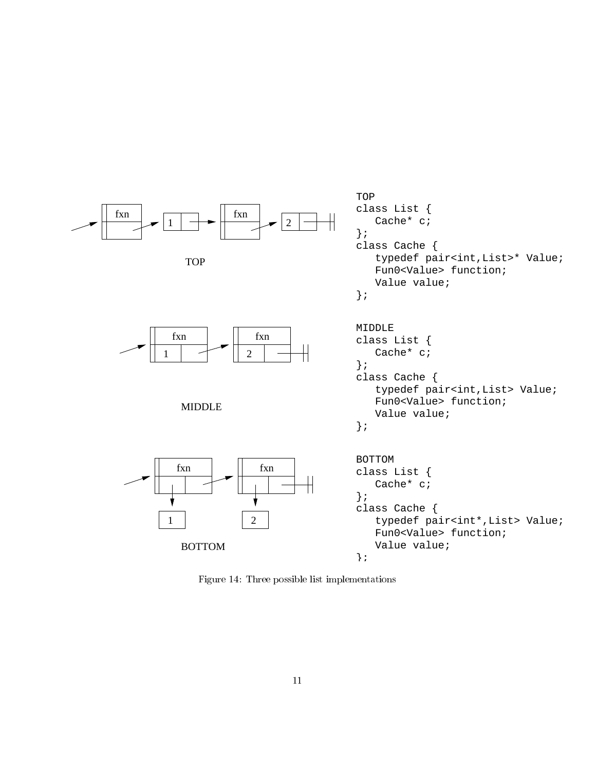

Figure 14: Three possible list implementations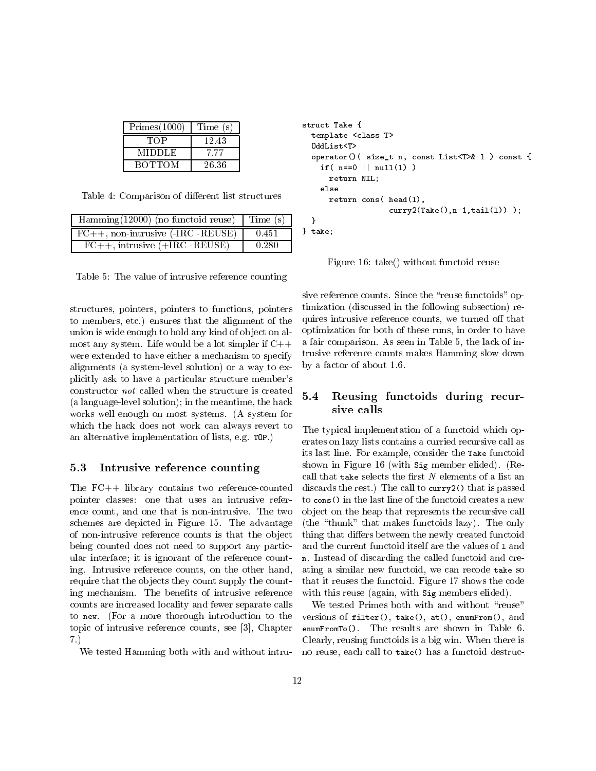| Primes(1000)  | Time (s) |  |
|---------------|----------|--|
| TOP           | 12.43    |  |
| <b>MIDDLE</b> | 777      |  |
| <b>BOTTOM</b> | 26.36    |  |

Table 4: Comparison of different list structures

| $\overline{\text{Hamming}(12000)}$ (no functoid reuse) Time (s) |       |     |
|-----------------------------------------------------------------|-------|-----|
| $FC++, non-intrusive (-IRC -REUSE)$                             | 0.451 | } t |
| $FC++$ , intrusive $(+IRC$ -REUSE)                              | 0.280 |     |

Table 5: The value of intrusive reference counting

structures, pointers, pointers to functions, pointers to members, etc.) ensures that the alignment of the union is wide enough to hold any kind of object on almost any system. Life would be a lot simpler if  $C++$ were extended to have either a mechanism to specify alignments (a system-level solution) or a way to explicitly ask to have a particular structure member's constructor *not* called when the structure is created  $\mathbf{5.4}$ (a language-level solution); in the meantime, the hack works well enough on most systems. (A system for which the hack does not work can always revert to an alternative implementation of lists, e.g. TOP.)

#### Intrusive reference counting  $5.3$

The FC++ library contains two reference-counted pointer classes: one that uses an intrusive reference count, and one that is non-intrusive. The two schemes are depicted in Figure 15. The advantage of non-intrusive reference counts is that the ob ject being counted does not need to support any particular interface; it is ignorant of the reference counting. Intrusive reference counts, on the other hand, require that the objects they count supply the counting mechanism. The benefits of intrusive reference counts are increased locality and fewer separate calls to new. (For a more thorough introduction to the topic of intrusive reference counts, see [3], Chapter 7.)

We tested Hamming both with and without intru-

```
struct Take {
  template <class T>
  OddList<T>
  operator()( size_t n, const List<T>& l ) const {
    if( n == 0 || null(1) )
      return NIL;
    else
      return cons( head(l),
                    curry2(Take(), n-1, tail(1)) );
  }
} take;
```
Figure 16: take() without functoid reuse

sive reference counts. Since the "reuse functoids" optimization (discussed in the following subsection) requires intrusive reference counts, we turned off that optimization for both of these runs, in order to have a fair comparison. As seen in Table 5, the lack of intrusive reference counts makes Hamming slow down by a factor of about 1.6.

## 5.4 Reusing functoids during recursive calls

The typical implementation of a functoid which operates on lazy lists contains a curried recursive call as its last line. For example, consider the Take functoid shown in Figure 16 (with Sig member elided). (Recall that take selects the first  $N$  elements of a list an discards the rest.) The call to curry2() that is passed to cons() in the last line of the functoid creates a new ob ject on the heap that represents the recursive call (the \thunk" that makes functoids lazy). The only thing that differs between the newly created functoid and the current functoid itself are the values of 1 and n. Instead of discarding the called functoid and creating a similar new functoid, we can recode take so that it reuses the functoid. Figure 17 shows the code with this reuse (again, with Sig members elided).

We tested Primes both with and without "reuse" versions of filter(), take(), at(), enumFrom(), and enumFromTo(). The results are shown in Table 6. Clearly, reusing functoids is a big win. When there is no reuse, each call to take() has a functoid destruc-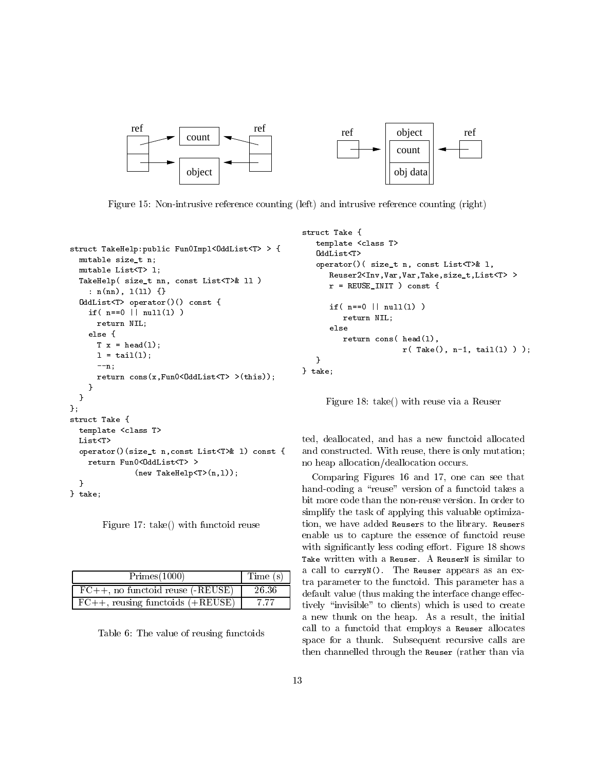

Figure 15: Non-intrusive reference counting (left) and intrusive reference counting (right)

```
struct TakeHelp:public Fun0Impl<OddList<T> > {
 mutable size_t n;
 mutable List<T> l;
 TakeHelp( size_t nn, const List<T>& ll )
    : n(nn), l(ll) {}
  OddList<T> operator()() const {
   if( n == 0 || null(1) )
     return NIL;
   else {
      T x = head(l);
     1 = \text{tail}(1):
     --n;
     return cons(x, Fun0 < 0ddList<T> >(this));
   P
    }
  }
};
struct Take {
 template <class T>
 List<T>
 operator()(size_t n,const List<T>& l) const {
   return Fun0<0ddList<T>>>
              (new TakeHelp<T>(n,1));
  }
} take;
```
Figure 17: take() with functoid reuse

| Primes(1000)                               | Time (s) |
|--------------------------------------------|----------|
| $FC++, no functioned reuse (-REUSE)$       | 26.36    |
| $\vert$ FC++, reusing functoids $(+REUSE)$ | 7.77     |

Table 6: The value of reusing functoids

```
struct Take {
   template <class T>
   OddList<T>
   operator()( size_t n, const List<T>& l,
      Reuser2<Inv,Var,Var,Take,size_t,List<T> >
      r = REUSE_INIT ) const {
      if (n == 0 || null(1))return NIL;
      else
         return cons( head(l),
                      r( Take(), n-1, tail(l) ) );
   }
} take;
```
Figure 18: take() with reuse via a Reuser

ted, deallocated, and has a new functoid allocated and constructed. With reuse, there is only mutation; no heap allocation/deallocation occurs.

Comparing Figures 16 and 17, one can see that hand-coding a "reuse" version of a functoid takes a bit more code than the non-reuse version. In order to simplify the task of applying this valuable optimization, we have added Reusers to the library. Reusers enable us to capture the essence of functoid reuse with significantly less coding effort. Figure 18 shows Take written with a Reuser. A ReuserN is similar to a call to curryN(). The Reuser appears as an extra parameter to the functoid. This parameter has a default value (thus making the interface change effectively "invisible" to clients) which is used to create a new thunk on the heap. As a result, the initial call to a functoid that employs a Reuser allocates space for a thunk. Subsequent recursive calls are then channelled through the Reuser (rather than via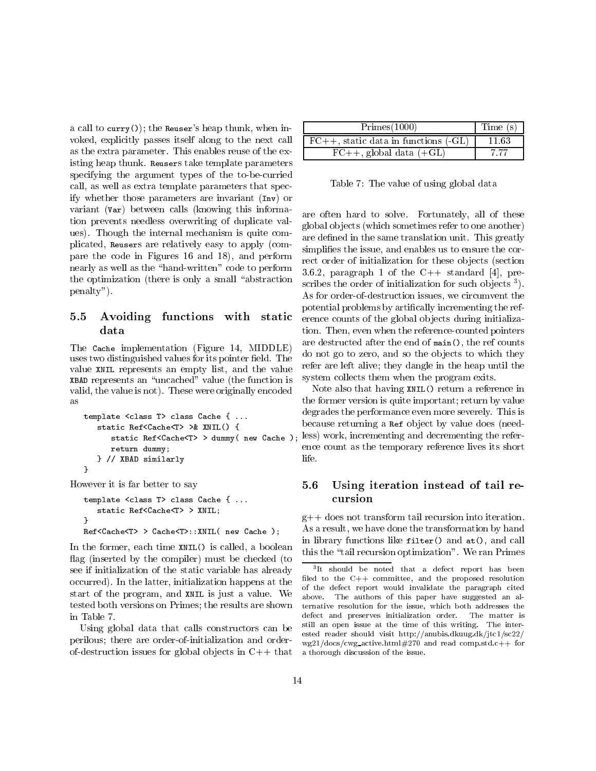a call to curry()); the Reuser's heap thunk, when in voked, explicitly passes itself along to the next call as the extra parameter. This enables reuse of the existing heap thunk. Reusers take template parameters specifying the argument types of the to-be-curried call, as well as extra template parameters that specify whether those parameters are invariant (Inv) or variant (Var) between calls (knowing this information prevents needless overwriting of duplicate values). Though the internal mechanism is quite complicated, Reusers are relatively easy to apply (compare the code in Figures 16 and 18), and perform nearly as well as the "hand-written" code to perform the optimization (there is only a small "abstraction") penalty").

# 5.5 Avoiding functions with static

The Cache implementation (Figure 14, MIDDLE) uses two distinguished values for its pointer field. The value XNIL represents an empty list, and the value XBAD represents an \uncached" value (the function is valid, the value is not). These were originally encoded as

```
template <class T> class Cache { ...
   static Ref<Cache<T> >& XNIL() {
      static Ref<Cache<T> > dummy( new Cache );
     return dummy;
   } // XBAD similarly
J.
```
However it is far better to say

}

```
template <class T> class Cache { ...
   static Ref<Cache<T> > XNIL;
J.
}
Ref<Cache<T> > Cache<T>::XNIL( new Cache );
```
In the former, each time XNIL() is called, a boolean flag (inserted by the compiler) must be checked (to see if initialization of the static variable has already occurred). In the latter, initialization happens at the start of the program, and XNIL is just a value. We tested both versions on Primes; the results are shown in Table 7.

Using global data that calls constructors can be perilous; there are order-of-initialization and orderof-destruction issues for global objects in  $C++$  that

| Primes(1000)                              | Time (s) |
|-------------------------------------------|----------|
| $FC++$ , static data in functions $(-GL)$ | 11.63    |
| $FC++,$ global data $(+GL)$               | 7.77     |

Table 7: The value of using global data

are often hard to solve. Fortunately, all of these global ob jects (which sometimes refer to one another) are defined in the same translation unit. This greatly simplifies the issue, and enables us to ensure the correct order of initialization for these objects (section 3.6.2, paragraph 1 of the  $C++$  standard [4], prescribes the order of initialization for such objects <sup>-</sup> ). As for order-of-destruction issues, we circumvent the potential problems by artically incrementing the reference counts of the global objects during initialization. Then, even when the reference-counted pointers are destructed after the end of main(), the ref counts do not go to zero, and so the ob jects to which they refer are left alive; they dangle in the heap until the system collects them when the program exits.

Note also that having XNIL() return a reference in the former version is quite important; return by value degrades the performance even more severely. This is because returning a Ref object by value does (needless) work, incrementing and decrementing the reference count as the temporary reference lives its short life.

## 5.6 Using iteration instead of tail recursion

g++ does not transform tail recursion into iteration. As a result, we have done the transformation by hand in library functions like filter() and at(), and call this the \tail recursion optimization". We ran Primes

<sup>3</sup> It should be noted that a defect report has been filed to the  $C++$  committee, and the proposed resolution of the defect report would invalidate the paragraph cited above. The authors of this paper have suggested an alternative resolution for the issue, which both addresses the defect and preserves initialization order. The matter is still an open issue at the time of this writing. The interested reader should visit http://anubis.dkuug.dk/jtc1/sc22/  $wg21/docs/cwg_2active.html#270$  and read comp.std.c++ for a thorough discussion of the issue.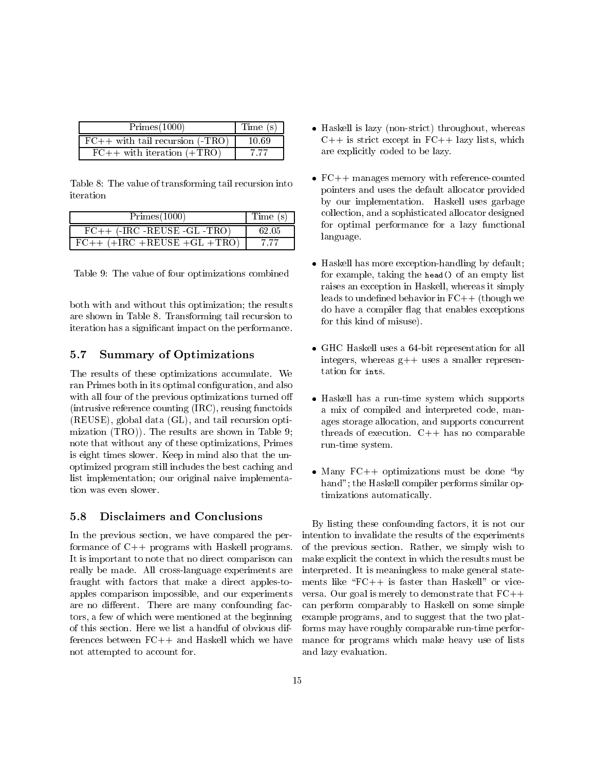| Primes(1000)                           | Time (s) |
|----------------------------------------|----------|
| $\mid$ FC++ with tail recursion (-TRO) | 10.69    |
| $FC++$ with iteration $(+TRO)$         | 7 77     |

Table 8: The value of transforming tail recursion into iteration

| Primes(1000)                             | Time(s) |
|------------------------------------------|---------|
| $FC++$ (-IRC -REUSE -GL -TRO)            | 62.05   |
| $\overline{FC++(+}$ IRC +REUSE +GL +TRO) |         |

Table 9: The value of four optimizations combined

both with and without this optimization; the results are shown in Table 8. Transforming tail recursion to iteration has a signicant impact on the performance.

#### $5.7$ **Summary of Optimizations**

The results of these optimizations accumulate. We ran Primes both in its optimal configuration, and also with all four of the previous optimizations turned o (intrusive reference counting (IRC), reusing functoids (REUSE), global data (GL), and tail recursion optimization (TRO)). The results are shown in Table 9; note that without any of these optimizations, Primes is eight times slower. Keep in mind also that the unoptimized program still includes the best caching and list implementation; our original naive implementation was even slower.

#### $5.8$ **Disclaimers and Conclusions**

In the previous section, we have compared the performance of C++ programs with Haskell programs. It is important to note that no direct comparison can really be made. All cross-language experiments are fraught with factors that make a direct apples-toapples comparison impossible, and our experiments are no different. There are many confounding factors, a few of which were mentioned at the beginning of this section. Here we list a handful of obvious differences between  $FC++$  and Haskell which we have ferences between FC++ and Haskell which we have have have have have had had have have have have have have have not attempted to account for.

- Haskell is lazy (non-strict) throughout, whereas  $C++$  is strict except in  $FC++$  lazy lists, which are explicitly coded to be lazy.
- $\mathbf{F}_{\mathbf{c}}$  , and  $\mathbf{F}_{\mathbf{c}}$  memory with reference-counted reference-counted reference-counted reference-counted references and  $\mathbf{F}_{\mathbf{c}}$ pointers and uses the default allocator provided by our implementation. Haskell uses garbage collection, and a sophisticated allocator designed for optimal performance for a lazy functional language.
- Haskell has more exception-handling by default; for example, taking the head() of an empty list raises an exception in Haskell, whereas it simply leads to undefined behavior in  $FC++$  (though we do have a compiler flag that enables exceptions for this kind of misuse).
- GHC Haskell uses a 64-bit representation for all integers, whereas  $g++$  uses a smaller representation for ints.
- Haskell has a run-time system which supports a mix of compiled and interpreted code, manages storage allocation, and supports concurrent threads of execution. C++ has no comparable run-time system.
- Many FC++ optimizations must be done \by hand"; the Haskell compiler performs similar optimizations automatically.

By listing these confounding factors, it is not our intention to invalidate the results of the experiments of the previous section. Rather, we simply wish to make explicit the context in which the results must be interpreted. It is meaningless to make general statements like " $FC++$  is faster than Haskell" or viceversa. Our goal is merely to demonstrate that FC++ can perform comparably to Haskell on some simple example programs, and to suggest that the two platforms may have roughly comparable run-time performance for programs which make heavy use of lists and lazy evaluation.